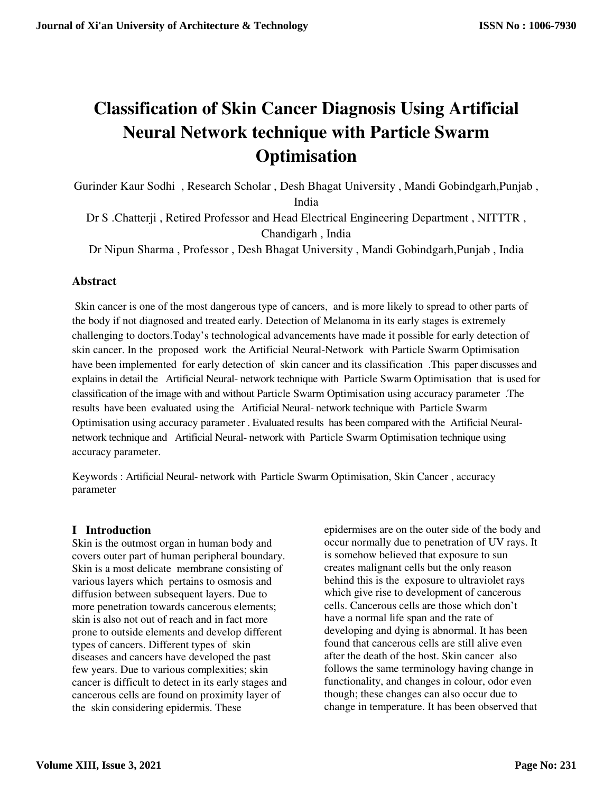# **Classification of Skin Cancer Diagnosis Using Artificial Neural Network technique with Particle Swarm Optimisation**

Gurinder Kaur Sodhi , Research Scholar , Desh Bhagat University , Mandi Gobindgarh,Punjab , India

Dr S .Chatterji , Retired Professor and Head Electrical Engineering Department , NITTTR , Chandigarh , India

Dr Nipun Sharma , Professor , Desh Bhagat University , Mandi Gobindgarh,Punjab , India

# **Abstract**

 Skin cancer is one of the most dangerous type of cancers, and is more likely to spread to other parts of the body if not diagnosed and treated early. Detection of Melanoma in its early stages is extremely challenging to doctors.Today's technological advancements have made it possible for early detection of skin cancer. In the proposed work the Artificial Neural-Network with Particle Swarm Optimisation have been implemented for early detection of skin cancer and its classification .This paper discusses and explains in detail the Artificial Neural- network technique with Particle Swarm Optimisation that is used for classification of the image with and without Particle Swarm Optimisation using accuracy parameter .The results have been evaluated using the Artificial Neural- network technique with Particle Swarm Optimisation using accuracy parameter . Evaluated results has been compared with the Artificial Neuralnetwork technique and Artificial Neural- network with Particle Swarm Optimisation technique using accuracy parameter.

Keywords : Artificial Neural- network with Particle Swarm Optimisation, Skin Cancer , accuracy parameter

# **I Introduction**

Skin is the outmost organ in human body and covers outer part of human peripheral boundary. Skin is a most delicate membrane consisting of various layers which pertains to osmosis and diffusion between subsequent layers. Due to more penetration towards cancerous elements; skin is also not out of reach and in fact more prone to outside elements and develop different types of cancers. Different types of skin diseases and cancers have developed the past few years. Due to various complexities; skin cancer is difficult to detect in its early stages and cancerous cells are found on proximity layer of the skin considering epidermis. These

epidermises are on the outer side of the body and occur normally due to penetration of UV rays. It is somehow believed that exposure to sun creates malignant cells but the only reason behind this is the exposure to ultraviolet rays which give rise to development of cancerous cells. Cancerous cells are those which don't have a normal life span and the rate of developing and dying is abnormal. It has been found that cancerous cells are still alive even after the death of the host. Skin cancer also follows the same terminology having change in functionality, and changes in colour, odor even though; these changes can also occur due to change in temperature. It has been observed that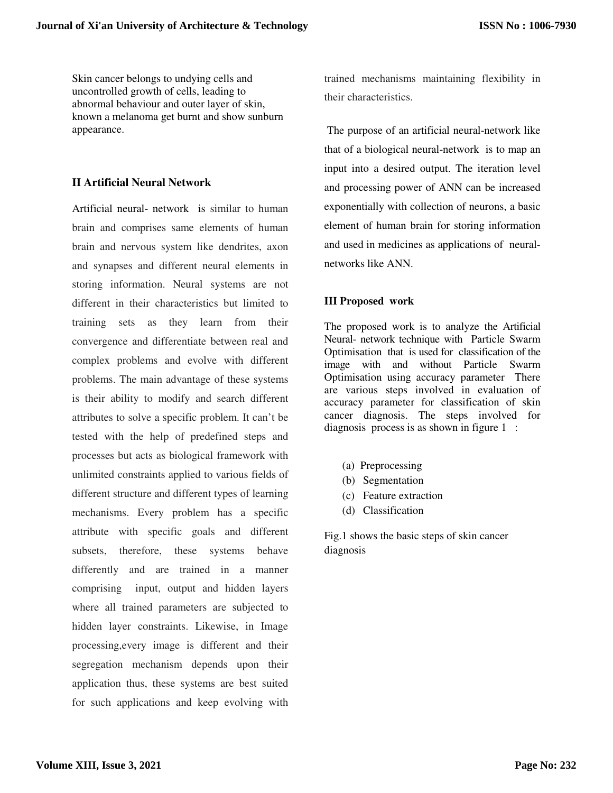Skin cancer belongs to undying cells and uncontrolled growth of cells, leading to abnormal behaviour and outer layer of skin, known a melanoma get burnt and show sunburn appearance.

## **II Artificial Neural Network**

Artificial neural- network is similar to human brain and comprises same elements of human brain and nervous system like dendrites, axon and synapses and different neural elements in storing information. Neural systems are not different in their characteristics but limited to training sets as they learn from their convergence and differentiate between real and complex problems and evolve with different problems. The main advantage of these systems is their ability to modify and search different attributes to solve a specific problem. It can't be tested with the help of predefined steps and processes but acts as biological framework with unlimited constraints applied to various fields of different structure and different types of learning mechanisms. Every problem has a specific attribute with specific goals and different subsets, therefore, these systems behave differently and are trained in a manner comprising input, output and hidden layers where all trained parameters are subjected to hidden layer constraints. Likewise, in Image processing,every image is different and their segregation mechanism depends upon their application thus, these systems are best suited for such applications and keep evolving with

trained mechanisms maintaining flexibility in their characteristics.

 The purpose of an artificial neural-network like that of a biological neural-network is to map an input into a desired output. The iteration level and processing power of ANN can be increased exponentially with collection of neurons, a basic element of human brain for storing information and used in medicines as applications of neuralnetworks like ANN.

# **III Proposed work**

The proposed work is to analyze the Artificial Neural- network technique with Particle Swarm Optimisation that is used for classification of the image with and without Particle Swarm Optimisation using accuracy parameter There are various steps involved in evaluation of accuracy parameter for classification of skin cancer diagnosis. The steps involved for diagnosis process is as shown in figure 1:

- (a) Preprocessing
- (b) Segmentation
- (c) Feature extraction
- (d) Classification

Fig.1 shows the basic steps of skin cancer diagnosis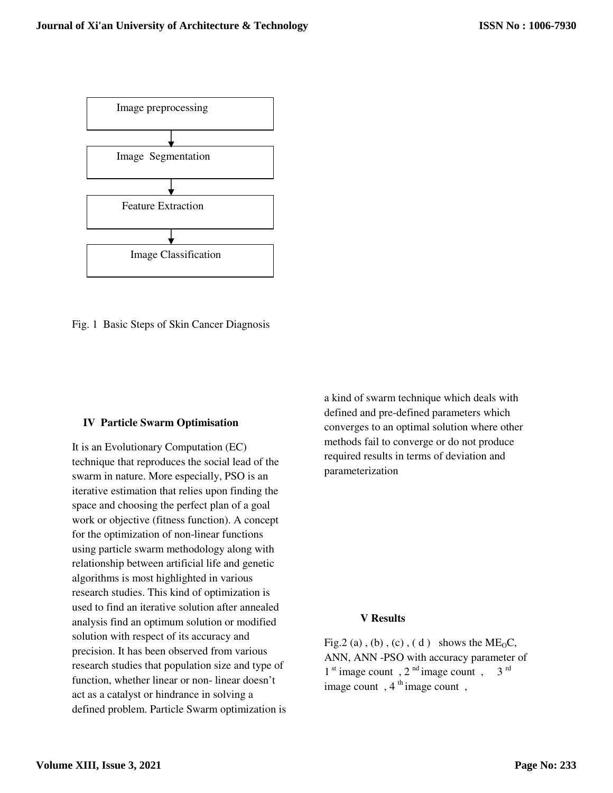

Fig. 1 Basic Steps of Skin Cancer Diagnosis

## **IV Particle Swarm Optimisation**

It is an Evolutionary Computation (EC) technique that reproduces the social lead of the swarm in nature. More especially, PSO is an iterative estimation that relies upon finding the space and choosing the perfect plan of a goal work or objective (fitness function). A concept for the optimization of non-linear functions using particle swarm methodology along with relationship between artificial life and genetic algorithms is most highlighted in various research studies. This kind of optimization is used to find an iterative solution after annealed analysis find an optimum solution or modified solution with respect of its accuracy and precision. It has been observed from various research studies that population size and type of function, whether linear or non- linear doesn't act as a catalyst or hindrance in solving a defined problem. Particle Swarm optimization is a kind of swarm technique which deals with defined and pre-defined parameters which converges to an optimal solution where other methods fail to converge or do not produce required results in terms of deviation and parameterization

# **V Results**

Fig.2 (a), (b), (c), (d) shows the  $ME_0C$ , ANN, ANN -PSO with accuracy parameter of 1<sup>st</sup> image count, 2<sup>nd</sup> image count, 3<sup>rd</sup> image count,  $4<sup>th</sup>$  image count,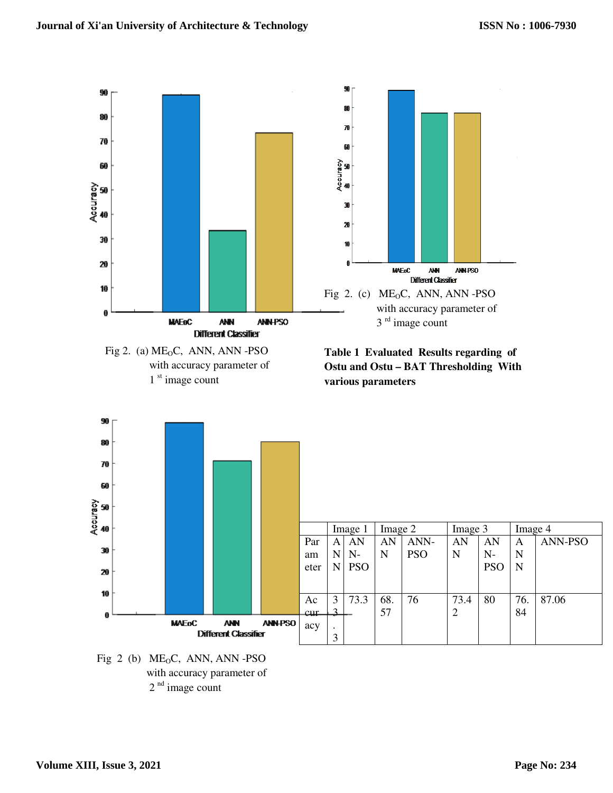



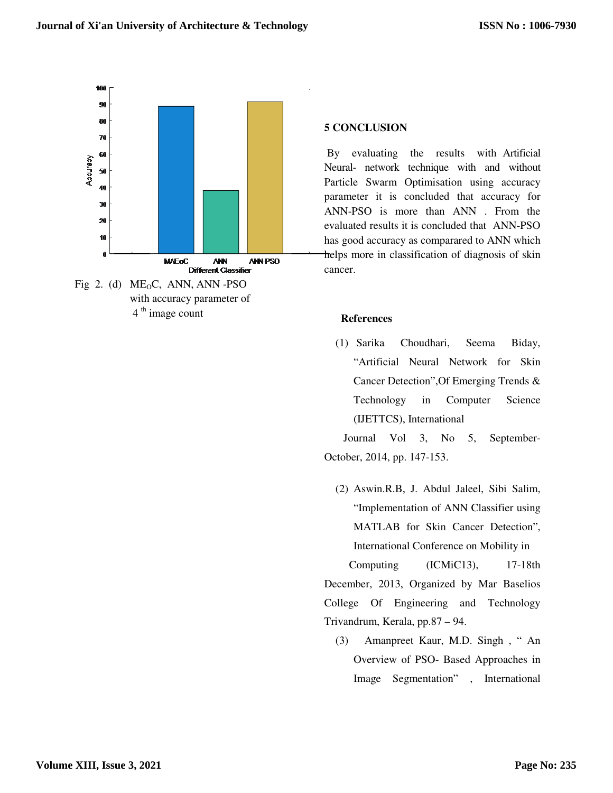

 $4<sup>th</sup>$  image count

#### **5 CONCLUSION**

 By evaluating the results with Artificial Neural- network technique with and without Particle Swarm Optimisation using accuracy parameter it is concluded that accuracy for ANN-PSO is more than ANN . From the evaluated results it is concluded that ANN-PSO has good accuracy as comparared to ANN which helps more in classification of diagnosis of skin cancer.

## **References**

(1) Sarika Choudhari, Seema Biday, "Artificial Neural Network for Skin Cancer Detection",Of Emerging Trends & Technology in Computer Science (IJETTCS), International

 Journal Vol 3, No 5, September-October, 2014, pp. 147-153.

(2) Aswin.R.B, J. Abdul Jaleel, Sibi Salim, "Implementation of ANN Classifier using MATLAB for Skin Cancer Detection", International Conference on Mobility in Computing (ICMiC13), 17-18th December, 2013, Organized by Mar Baselios

College Of Engineering and Technology Trivandrum, Kerala, pp.87 – 94.

(3) Amanpreet Kaur, M.D. Singh , " An Overview of PSO- Based Approaches in Image Segmentation" , International